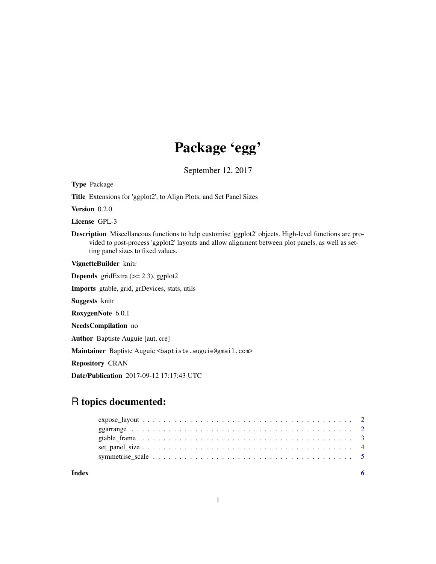## Package 'egg'

September 12, 2017

Type Package

Title Extensions for 'ggplot2', to Align Plots, and Set Panel Sizes

Version 0.2.0

License GPL-3

Description Miscellaneous functions to help customise 'ggplot2' objects. High-level functions are provided to post-process 'ggplot2' layouts and allow alignment between plot panels, as well as setting panel sizes to fixed values.

VignetteBuilder knitr

**Depends** gridExtra  $(>= 2.3)$ , ggplot2

Imports gtable, grid, grDevices, stats, utils

Suggests knitr

RoxygenNote 6.0.1

NeedsCompilation no

Author Baptiste Auguie [aut, cre]

Maintainer Baptiste Auguie <br/>baptiste.auguie@gmail.com>

Repository CRAN

Date/Publication 2017-09-12 17:17:43 UTC

### R topics documented:

| Index |                                                                                                           |
|-------|-----------------------------------------------------------------------------------------------------------|
|       |                                                                                                           |
|       |                                                                                                           |
|       | gtable frame $\ldots \ldots \ldots \ldots \ldots \ldots \ldots \ldots \ldots \ldots \ldots \ldots \ldots$ |
|       |                                                                                                           |
|       |                                                                                                           |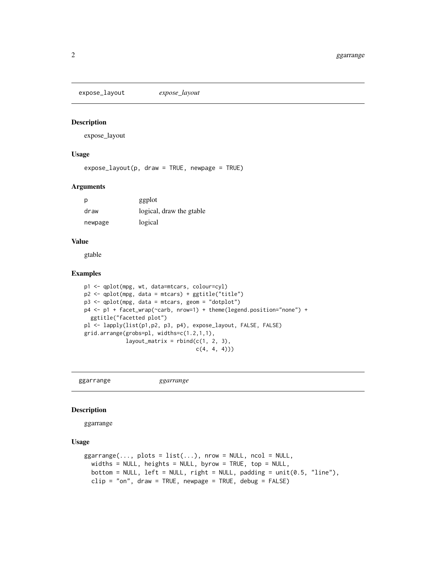<span id="page-1-0"></span>expose\_layout *expose\_layout*

#### Description

expose\_layout

#### Usage

 $expose\_layout(p, draw = TRUE, newpage = TRUE)$ 

#### Arguments

p ggplot draw logical, draw the gtable newpage logical

#### Value

gtable

#### Examples

```
p1 <- qplot(mpg, wt, data=mtcars, colour=cyl)
p2 <- qplot(mpg, data = mtcars) + ggtitle("title")
p3 <- qplot(mpg, data = mtcars, geom = "dotplot")
p4 <- p1 + facet_wrap(~carb, nrow=1) + theme(legend.position="none") +
  ggtitle("facetted plot")
pl <- lapply(list(p1,p2, p3, p4), expose_layout, FALSE, FALSE)
grid.arrange(grobs=pl, widths=c(1.2,1,1),
            layout_matrix = rbind(c(1, 2, 3),c(4, 4, 4))
```
ggarrange *ggarrange*

#### Description

ggarrange

#### Usage

```
ggarrange(..., plots = list(...), new = NULL, ncol = NULL,widths = NULL, heights = NULL, byrow = TRUE, top = NULL,
 bottom = NULL, left = NULL, right = NULL, padding = unit(0.5, 'line'),clip = "on", draw = TRUE, newpage = TRUE, debug = FALSE)
```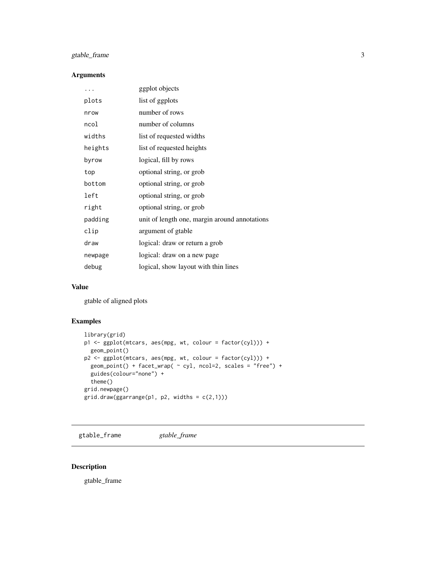#### <span id="page-2-0"></span>gtable\_frame 3

#### Arguments

| .       | ggplot objects                                |
|---------|-----------------------------------------------|
| plots   | list of ggplots                               |
| nrow    | number of rows                                |
| ncol    | number of columns                             |
| widths  | list of requested widths                      |
| heights | list of requested heights                     |
| byrow   | logical, fill by rows                         |
| top     | optional string, or grob                      |
| bottom  | optional string, or grob                      |
| left    | optional string, or grob                      |
| right   | optional string, or grob                      |
| padding | unit of length one, margin around annotations |
| clip    | argument of gtable                            |
| draw    | logical: draw or return a grob                |
| newpage | logical: draw on a new page                   |
| debug   | logical, show layout with thin lines          |

#### Value

gtable of aligned plots

#### Examples

```
library(grid)
p1 <- ggplot(mtcars, aes(mpg, wt, colour = factor(cyl))) +
 geom_point()
p2 <- ggplot(mtcars, aes(mpg, wt, colour = factor(cyl))) +
 geom_point() + facet_wrap( ~ cyl, ncol=2, scales = "free") +
  guides(colour="none") +
  theme()
grid.newpage()
grid.draw(ggarrange(p1, p2, widths = c(2,1)))
```
gtable\_frame *gtable\_frame*

#### Description

gtable\_frame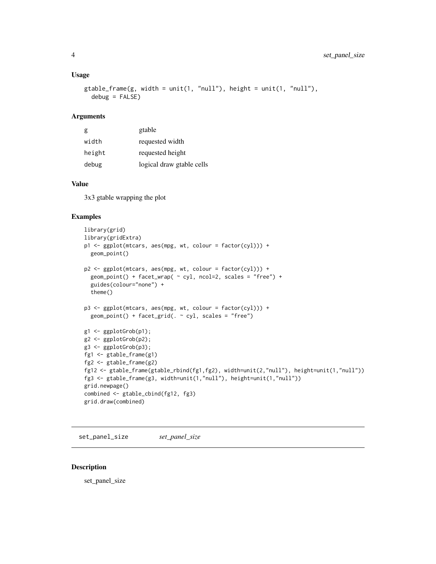#### <span id="page-3-0"></span>Usage

```
gtable_frame(g, width = unit(1, "null"), height = unit(1, "null"),
  debug = FALSE)
```
#### Arguments

| g      | gtable                    |
|--------|---------------------------|
| width  | requested width           |
| height | requested height          |
| debug  | logical draw gtable cells |

#### Value

3x3 gtable wrapping the plot

#### Examples

```
library(grid)
library(gridExtra)
p1 <- ggplot(mtcars, aes(mpg, wt, colour = factor(cyl))) +
 geom_point()
p2 \leq - ggplot(mtcars, aes(mpg, wt, colour = factor(cyl))) +
  geom_point() + facet_wrap( ~ cyl, ncol=2, scales = "free") +
  guides(colour="none") +
  theme()
p3 <- ggplot(mtcars, aes(mpg, wt, colour = factor(cyl))) +
  geom\_point() + facet\_grid( . ~ cyl, scales = "free")g1 <- ggplotGrob(p1);
g2 <- ggplotGrob(p2);
g3 <- ggplotGrob(p3);
fg1 <- gtable_frame(g1)
fg2 <- gtable_frame(g2)
fg12 <- gtable_frame(gtable_rbind(fg1,fg2), width=unit(2,"null"), height=unit(1,"null"))
fg3 <- gtable_frame(g3, width=unit(1,"null"), height=unit(1,"null"))
grid.newpage()
combined <- gtable_cbind(fg12, fg3)
grid.draw(combined)
```
set\_panel\_size *set\_panel\_size*

#### Description

set\_panel\_size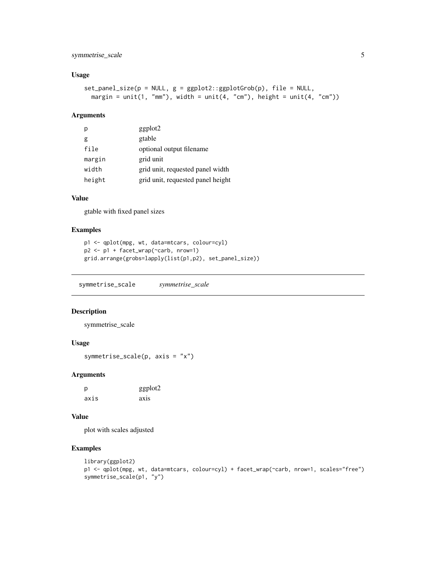#### <span id="page-4-0"></span>symmetrise\_scale 5

#### Usage

```
set\_panel\_size(p = NULL, g = ggplot2::ggplotGrob(p), file = NULL,margin = unit(1, "mm"), width = unit(4, "cm"), height = unit(4, "cm"))
```
#### Arguments

| p      | ggplot2                           |
|--------|-----------------------------------|
| g      | gtable                            |
| file   | optional output filename          |
| margin | grid unit                         |
| width  | grid unit, requested panel width  |
| height | grid unit, requested panel height |

#### Value

gtable with fixed panel sizes

#### Examples

```
p1 <- qplot(mpg, wt, data=mtcars, colour=cyl)
p2 <- p1 + facet_wrap(~carb, nrow=1)
grid.arrange(grobs=lapply(list(p1,p2), set_panel_size))
```
symmetrise\_scale *symmetrise\_scale*

#### Description

symmetrise\_scale

#### Usage

```
symmetrise_scale(p, axis = "x")
```
#### Arguments

| р    | ggplot2 |
|------|---------|
| axis | axis    |

#### Value

plot with scales adjusted

#### Examples

```
library(ggplot2)
p1 <- qplot(mpg, wt, data=mtcars, colour=cyl) + facet_wrap(~carb, nrow=1, scales="free")
symmetrise_scale(p1, "y")
```